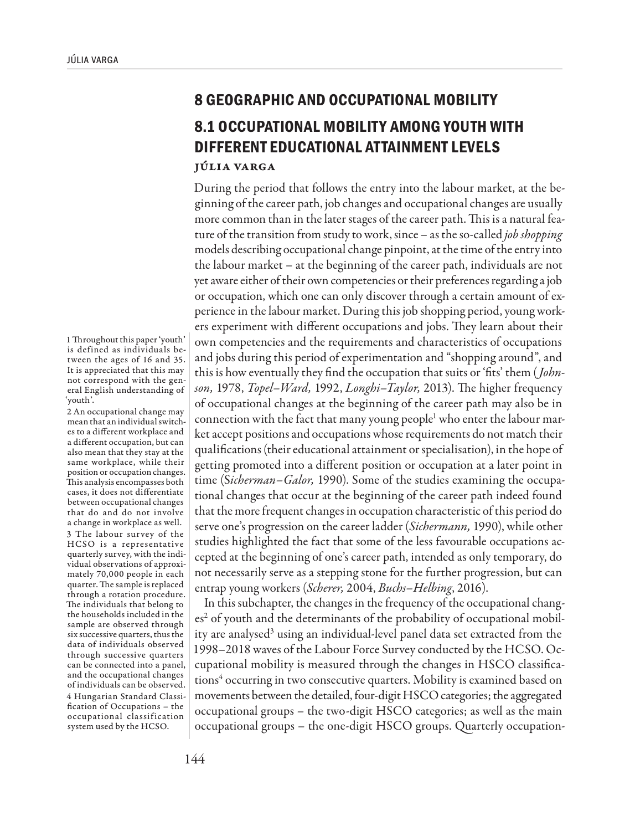## **8 GEOGRAPHIC AND OCCUPATIONAL MOBILITY 8.1 OCCUPATIONAL MOBILITY AMONG YOUTH WITH DIFFERENT EDUCATIONAL ATTAINMENT LEVELS**

Júlia Varga

During the period that follows the entry into the labour market, at the beginning of the career path, job changes and occupational changes are usually more common than in the later stages of the career path. This is a natural feature of the transition from study to work, since – as the so-called *job shopping* models describing occupational change pinpoint, at the time of the entry into the labour market – at the beginning of the career path, individuals are not yet aware either of their own competencies or their preferences regarding a job or occupation, which one can only discover through a certain amount of experience in the labour market. During this job shopping period, young workers experiment with different occupations and jobs. They learn about their own competencies and the requirements and characteristics of occupations and jobs during this period of experimentation and "shopping around", and this is how eventually they find the occupation that suits or 'fits' them (*Johnson,* 1978, *Topel–Ward,* 1992, *Longhi–Taylor,* 2013). The higher frequency of occupational changes at the beginning of the career path may also be in connection with the fact that many young people<sup>1</sup> who enter the labour market accept positions and occupations whose requirements do not match their qualifications (their educational attainment or specialisation), in the hope of getting promoted into a different position or occupation at a later point in time (S*icherman–Galor,* 1990). Some of the studies examining the occupational changes that occur at the beginning of the career path indeed found that the more frequent changes in occupation characteristic of this period do serve one's progression on the career ladder (*Sichermann,* 1990), while other studies highlighted the fact that some of the less favourable occupations accepted at the beginning of one's career path, intended as only temporary, do not necessarily serve as a stepping stone for the further progression, but can entrap young workers (*Scherer,* 2004, *Buchs–Helbing*, 2016).

In this subchapter, the changes in the frequency of the occupational changes<sup>2</sup> of youth and the determinants of the probability of occupational mobility are analysed<sup>3</sup> using an individual-level panel data set extracted from the 1998–2018 waves of the Labour Force Survey conducted by the HCSO. Occupational mobility is measured through the changes in HSCO classifications<sup>4</sup> occurring in two consecutive quarters. Mobility is examined based on movements between the detailed, four-digit HSCO categories; the aggregated occupational groups – the two-digit HSCO categories; as well as the main occupational groups – the one-digit HSCO groups. Quarterly occupation-

1 Throughout this paper 'youth' is defined as individuals between the ages of 16 and 35. It is appreciated that this may not correspond with the general English understanding of 'youth'.

2 An occupational change may mean that an individual switches to a different workplace and a different occupation, but can also mean that they stay at the same workplace, while their position or occupation changes. This analysis encompasses both cases, it does not differentiate between occupational changes that do and do not involve a change in workplace as well. 3 The labour survey of the HCSO is a representative quarterly survey, with the individual observations of approximately 70,000 people in each quarter. The sample is replaced through a rotation procedure. The individuals that belong to the households included in the sample are observed through six successive quarters, thus the data of individuals observed through successive quarters can be connected into a panel, and the occupational changes of individuals can be observed. 4 Hungarian Standard Classification of Occupations – the occupational classification system used by the HCSO.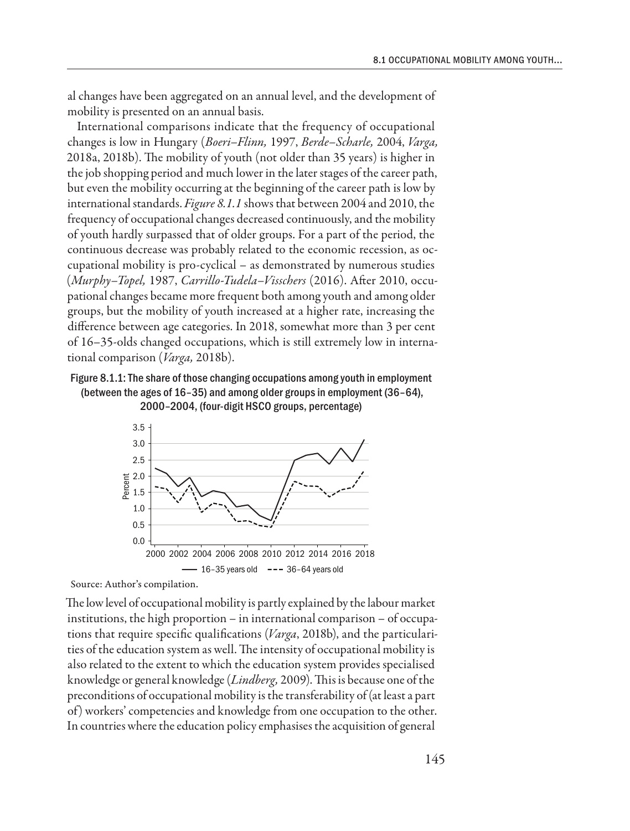al changes have been aggregated on an annual level, and the development of mobility is presented on an annual basis.

International comparisons indicate that the frequency of occupational changes is low in Hungary (*Boeri–Flinn,* 1997, *Berde–Scharle,* 2004, *Varga,* 2018a, 2018b). The mobility of youth (not older than 35 years) is higher in the job shopping period and much lower in the later stages of the career path, but even the mobility occurring at the beginning of the career path is low by international standards. *Figure 8.1.1* shows that between 2004 and 2010, the frequency of occupational changes decreased continuously, and the mobility of youth hardly surpassed that of older groups. For a part of the period, the continuous decrease was probably related to the economic recession, as occupational mobility is pro-cyclical – as demonstrated by numerous studies (*Murphy–Topel,* 1987, *Carrillo-Tudela–Visschers* (2016). After 2010, occupational changes became more frequent both among youth and among older groups, but the mobility of youth increased at a higher rate, increasing the difference between age categories. In 2018, somewhat more than 3 per cent of 16–35-olds changed occupations, which is still extremely low in international comparison (*Varga,* 2018b).

## Figure 8.1.1: The share of those changing occupations among youth in employment (between the ages of 16–35) and among older groups in employment (36–64), 2000–2004, (four-digit HSCO groups, percentage)



Source: Author's compilation.

The low level of occupational mobility is partly explained by the labour market institutions, the high proportion – in international comparison – of occupations that require specific qualifications (*Varga*, 2018b), and the particularities of the education system as well. The intensity of occupational mobility is also related to the extent to which the education system provides specialised knowledge or general knowledge (*Lindberg,* 2009). This is because one of the preconditions of occupational mobility is the transferability of (at least a part of) workers' competencies and knowledge from one occupation to the other. In countries where the education policy emphasises the acquisition of general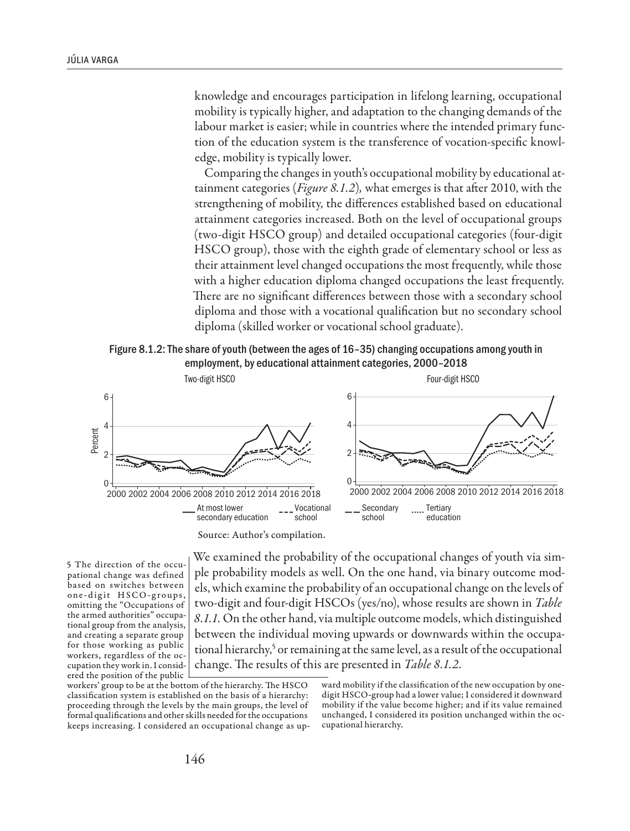knowledge and encourages participation in lifelong learning, occupational mobility is typically higher, and adaptation to the changing demands of the labour market is easier; while in countries where the intended primary function of the education system is the transference of vocation-specific knowledge, mobility is typically lower.

Comparing the changes in youth's occupational mobility by educational attainment categories (*Figure 8.1.2*)*,* what emerges is that after 2010, with the strengthening of mobility, the differences established based on educational attainment categories increased. Both on the level of occupational groups (two-digit HSCO group) and detailed occupational categories (four-digit HSCO group), those with the eighth grade of elementary school or less as their attainment level changed occupations the most frequently, while those with a higher education diploma changed occupations the least frequently. There are no significant differences between those with a secondary school diploma and those with a vocational qualification but no secondary school diploma (skilled worker or vocational school graduate).





Source: Author's compilation.

5 The direction of the occupational change was defined based on switches between one-digit HSCO-groups, omitting the "Occupations of the armed authorities" occupational group from the analysis, and creating a separate group for those working as public workers, regardless of the occupation they work in. I considered the position of the public

We examined the probability of the occupational changes of youth via simple probability models as well. On the one hand, via binary outcome models, which examine the probability of an occupational change on the levels of two-digit and four-digit HSCOs (yes/no), whose results are shown in *Table 8.1.1.* On the other hand, via multiple outcome models, which distinguished between the individual moving upwards or downwards within the occupational hierarchy,<sup>5</sup> or remaining at the same level, as a result of the occupational change. The results of this are presented in *Table 8.1.2.*

workers' group to be at the bottom of the hierarchy. The HSCO classification system is established on the basis of a hierarchy: proceeding through the levels by the main groups, the level of formal qualifications and other skills needed for the occupations keeps increasing. I considered an occupational change as up-

ward mobility if the classification of the new occupation by onedigit HSCO-group had a lower value; I considered it downward mobility if the value become higher; and if its value remained unchanged, I considered its position unchanged within the occupational hierarchy.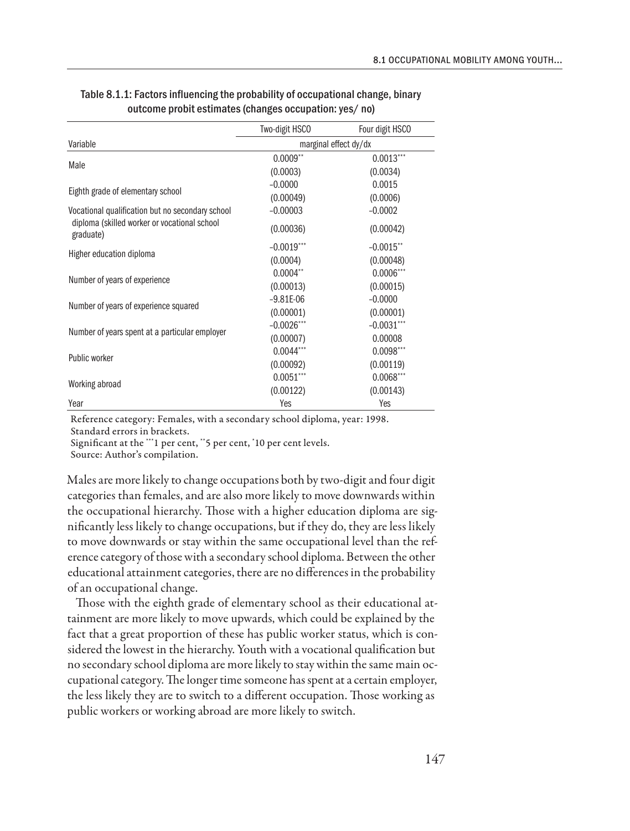|                                                           | Two-digit HSCO        | Four digit HSCO         |  |
|-----------------------------------------------------------|-----------------------|-------------------------|--|
| Variable                                                  | marginal effect dy/dx |                         |  |
| Male                                                      | $0.0009**$            | $0.0013***$             |  |
|                                                           | (0.0003)              | (0.0034)                |  |
| Eighth grade of elementary school                         | $-0.0000$             | 0.0015                  |  |
|                                                           | (0.00049)             | (0.0006)                |  |
| Vocational qualification but no secondary school          | $-0.00003$            | $-0.0002$               |  |
| diploma (skilled worker or vocational school<br>graduate) | (0.00036)             | (0.00042)               |  |
| Higher education diploma                                  | $-0.0019$ ***         | $-0.0015$ <sup>**</sup> |  |
|                                                           | (0.0004)              | (0.00048)               |  |
| Number of years of experience                             | $0.0004$ **           | $0.0006***$             |  |
|                                                           | (0.00013)             | (0.00015)               |  |
| Number of years of experience squared                     | $-9.81E-06$           | $-0.0000$               |  |
|                                                           | (0.00001)             | (0.00001)               |  |
| Number of years spent at a particular employer            | $-0.0026$ ***         | $-0.0031***$            |  |
|                                                           | (0.00007)             | 0.00008                 |  |
| Public worker                                             | $0.0044***$           | $0.0098***$             |  |
|                                                           | (0.00092)             | (0.00119)               |  |
| Working abroad                                            | $0.0051***$           | $0.0068***$             |  |
|                                                           | (0.00122)             | (0.00143)               |  |
| Year                                                      | Yes                   | Yes                     |  |

| Table 8.1.1: Factors influencing the probability of occupational change, binary |
|---------------------------------------------------------------------------------|
| outcome probit estimates (changes occupation: yes/no)                           |

Reference category: Females, with a secondary school diploma, year: 1998. Standard errors in brackets.

Significant at the \*\*\*1 per cent, \*\*5 per cent, \* 10 per cent levels.

Source: Author's compilation.

Males are more likely to change occupations both by two-digit and four digit categories than females, and are also more likely to move downwards within the occupational hierarchy. Those with a higher education diploma are significantly less likely to change occupations, but if they do, they are less likely to move downwards or stay within the same occupational level than the reference category of those with a secondary school diploma. Between the other educational attainment categories, there are no differences in the probability of an occupational change.

Those with the eighth grade of elementary school as their educational attainment are more likely to move upwards, which could be explained by the fact that a great proportion of these has public worker status, which is considered the lowest in the hierarchy. Youth with a vocational qualification but no secondary school diploma are more likely to stay within the same main occupational category. The longer time someone has spent at a certain employer, the less likely they are to switch to a different occupation. Those working as public workers or working abroad are more likely to switch.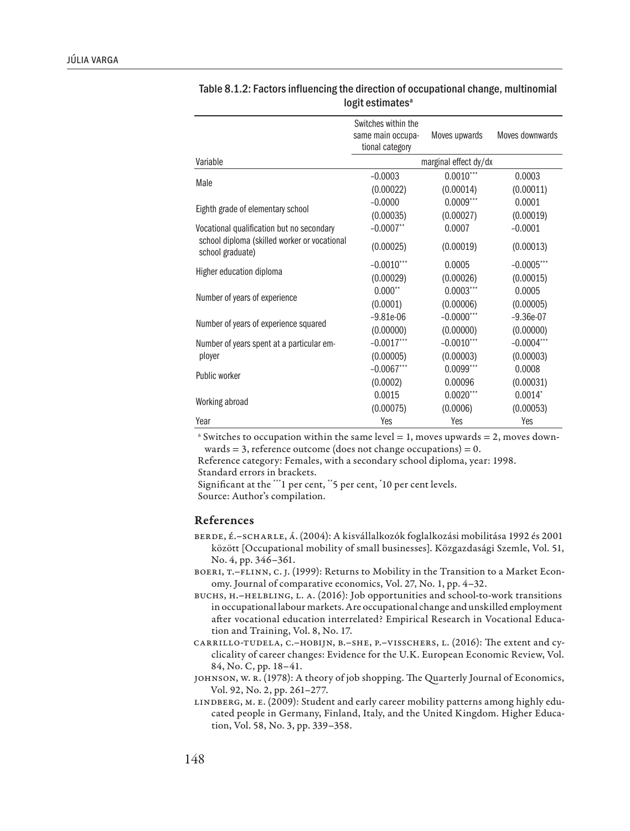|                                                                  | Switches within the   |               |                 |
|------------------------------------------------------------------|-----------------------|---------------|-----------------|
|                                                                  | same main occupa-     | Moves upwards | Moves downwards |
|                                                                  | tional category       |               |                 |
| Variable                                                         | marginal effect dy/dx |               |                 |
| Male                                                             | $-0.0003$             | $0.0010***$   | 0.0003          |
|                                                                  | (0.00022)             | (0.00014)     | (0.00011)       |
| Eighth grade of elementary school                                | $-0.0000$             | $0.0009***$   | 0.0001          |
|                                                                  | (0.00035)             | (0.00027)     | (0.00019)       |
| Vocational qualification but no secondary                        | $-0.0007**$           | 0.0007        | $-0.0001$       |
| school diploma (skilled worker or vocational<br>school graduate) | (0.00025)             | (0.00019)     | (0.00013)       |
| Higher education diploma                                         | $-0.0010$ ***         | 0.0005        | $-0.0005$ ***   |
|                                                                  | (0.00029)             | (0.00026)     | (0.00015)       |
| Number of years of experience                                    | $0.000**$             | $0.0003***$   | 0.0005          |
|                                                                  | (0.0001)              | (0.00006)     | (0.00005)       |
| Number of years of experience squared                            | $-9.81e-06$           | $-0.0000$ *** | $-9.36e-07$     |
|                                                                  | (0.00000)             | (0.00000)     | (0.00000)       |
| Number of years spent at a particular em-<br>ployer              | $-0.0017***$          | $-0.0010***$  | $-0.0004***$    |
|                                                                  | (0.00005)             | (0.00003)     | (0.00003)       |
| Public worker                                                    | $-0.0067***$          | $0.0099***$   | 0.0008          |
|                                                                  | (0.0002)              | 0.00096       | (0.00031)       |
| Working abroad                                                   | 0.0015                | $0.0020***$   | $0.0014*$       |
|                                                                  | (0.00075)             | (0.0006)      | (0.00053)       |
| Year                                                             | Yes                   | Yes           | Yes             |

| Table 8.1.2: Factors influencing the direction of occupational change, multinomial |
|------------------------------------------------------------------------------------|
| logit estimates <sup>a</sup>                                                       |

 $^{\circ}$  Switches to occupation within the same level = 1, moves upwards = 2, moves downwards  $= 3$ , reference outcome (does not change occupations)  $= 0$ .

Reference category: Females, with a secondary school diploma, year: 1998. Standard errors in brackets.

Significant at the \*\*\*1 per cent, \*\*5 per cent, \* 10 per cent levels. Source: Author's compilation.

## References

- Berde, É.–Scharle, Á. (2004): A kisvállalkozók foglalkozási mobilitása 1992 és 2001 között [Occupational mobility of small businesses]. Közgazdasági Szemle, Vol. 51, No. 4, pp. 346–361.
- BOERI, T.-FLINN, C. J. (1999): Returns to Mobility in the Transition to a Market Economy. Journal of comparative economics, Vol. 27, No. 1, pp. 4–32.
- Buchs, H.–Helbling, L. A. (2016): Job opportunities and school-to-work transitions in occupational labour markets. Are occupational change and unskilled employment after vocational education interrelated? Empirical Research in Vocational Education and Training, Vol. 8, No. 17.
- Carrillo-Tudela, C.–Hobijn, B.–She, P.–Visschers, L. (2016): The extent and cyclicality of career changes: Evidence for the U.K. European Economic Review, Vol. 84, No. C, pp. 18–41.
- Johnson, W. R. (1978): A theory of job shopping. The Quarterly Journal of Economics, Vol. 92, No. 2, pp. 261–277.
- Lindberg, M. E. (2009): Student and early career mobility patterns among highly educated people in Germany, Finland, Italy, and the United Kingdom. Higher Education, Vol. 58, No. 3, pp. 339–358.